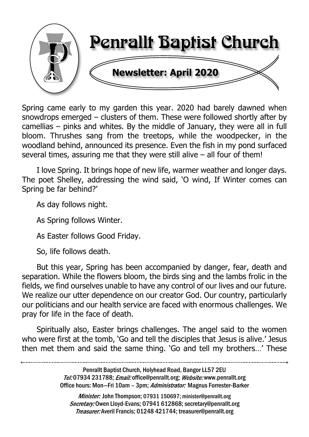

Spring came early to my garden this year. 2020 had barely dawned when snowdrops emerged – clusters of them. These were followed shortly after by camellias – pinks and whites. By the middle of January, they were all in full bloom. Thrushes sang from the treetops, while the woodpecker, in the woodland behind, announced its presence. Even the fish in my pond surfaced several times, assuring me that they were still alive – all four of them!

I love Spring. It brings hope of new life, warmer weather and longer days. The poet Shelley, addressing the wind said, 'O wind, If Winter comes can Spring be far behind?'

As day follows night.

As Spring follows Winter.

As Easter follows Good Friday.

So, life follows death.

But this year, Spring has been accompanied by danger, fear, death and separation. While the flowers bloom, the birds sing and the lambs frolic in the fields, we find ourselves unable to have any control of our lives and our future. We realize our utter dependence on our creator God. Our country, particularly our politicians and our health service are faced with enormous challenges. We pray for life in the face of death.

Spiritually also, Easter brings challenges. The angel said to the women who were first at the tomb, 'Go and tell the disciples that Jesus is alive.' Jesus then met them and said the same thing. 'Go and tell my brothers…' These

> Penrallt Baptist Church, Holyhead Road, Bangor LL57 2EU Tel:07934 231788; Email: office@penrallt.org; Website: www.penrallt.org Office hours: Mon-Fri 10am - 3pm; Administrator: Magnus Forrester-Barker

Minister: John Thompson: 07931 150697; minister@penrallt.org Secretary: Owen Lloyd-Evans; 07941 612868; secretary@penrallt.org Treasurer: Averil Francis; 01248 421744; treasurer@penrallt.org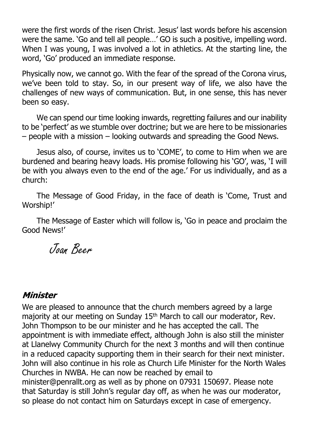were the first words of the risen Christ. Jesus' last words before his ascension were the same. 'Go and tell all people…' GO is such a positive, impelling word. When I was young, I was involved a lot in athletics. At the starting line, the word, 'Go' produced an immediate response.

Physically now, we cannot go. With the fear of the spread of the Corona virus, we've been told to stay. So, in our present way of life, we also have the challenges of new ways of communication. But, in one sense, this has never been so easy.

We can spend our time looking inwards, regretting failures and our inability to be 'perfect' as we stumble over doctrine; but we are here to be missionaries – people with a mission – looking outwards and spreading the Good News.

Jesus also, of course, invites us to 'COME', to come to Him when we are burdened and bearing heavy loads. His promise following his 'GO', was, 'I will be with you always even to the end of the age.' For us individually, and as a church:

The Message of Good Friday, in the face of death is 'Come, Trust and Worship!'

The Message of Easter which will follow is, 'Go in peace and proclaim the Good News!'

Joan Beer

#### Minister

We are pleased to announce that the church members agreed by a large majority at our meeting on Sunday 15<sup>th</sup> March to call our moderator, Rev. John Thompson to be our minister and he has accepted the call. The appointment is with immediate effect, although John is also still the minister at Llanelwy Community Church for the next 3 months and will then continue in a reduced capacity supporting them in their search for their next minister. John will also continue in his role as Church Life Minister for the North Wales Churches in NWBA. He can now be reached by email to minister@penrallt.org as well as by phone on 07931 150697. Please note that Saturday is still John's regular day off, as when he was our moderator, so please do not contact him on Saturdays except in case of emergency.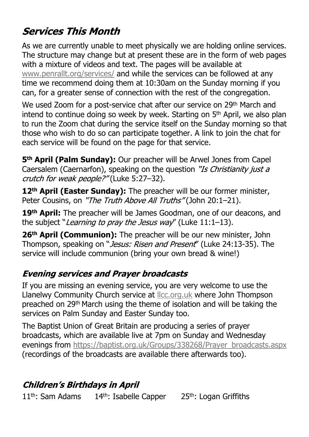# **Services This Month**

As we are currently unable to meet physically we are holding online services. The structure may change but at present these are in the form of web pages with a mixture of videos and text. The pages will be available at [www.penrallt.org/services/](https://www.penrallt.org/services/index.php) and while the services can be followed at any time we recommend doing them at 10:30am on the Sunday morning if you can, for a greater sense of connection with the rest of the congregation.

We used Zoom for a post-service chat after our service on 29<sup>th</sup> March and intend to continue doing so week by week. Starting on 5<sup>th</sup> April, we also plan to run the Zoom chat during the service itself on the Sunday morning so that those who wish to do so can participate together. A link to join the chat for each service will be found on the page for that service.

**5th April (Palm Sunday):** Our preacher will be Arwel Jones from Capel Caersalem (Caernarfon), speaking on the question "Is Christianity just a crutch for weak people?"(Luke 5:27-32).

**12th April (Easter Sunday):** The preacher will be our former minister, Peter Cousins, on "The Truth Above All Truths" (John 20:1-21).

**19th April:** The preacher will be James Goodman, one of our deacons, and the subject "*Learning to pray the Jesus way*" (Luke 11:1-13).

**26th April (Communion):** The preacher will be our new minister, John Thompson, speaking on "Jesus: Risen and Present" (Luke 24:13-35). The service will include communion (bring your own bread & wine!)

# **Evening services and Prayer broadcasts**

If you are missing an evening service, you are very welcome to use the Llanelwy Community Church service at [llcc.org.uk](https://llcc.org.uk) where John Thompson preached on 29th March using the theme of isolation and will be taking the services on Palm Sunday and Easter Sunday too.

The Baptist Union of Great Britain are producing a series of prayer broadcasts, which are available live at 7pm on Sunday and Wednesday evenings from [https://baptist.org.uk/Groups/338268/Prayer\\_broadcasts.aspx](https://baptist.org.uk/Groups/338268/Prayer_broadcasts.aspx) (recordings of the broadcasts are available there afterwards too).

# **Children's Birthdays in April**

 $11<sup>th</sup>$ : Sam Adams  $14<sup>th</sup>$ : Isabelle Capper  $25<sup>th</sup>$ : Logan Griffiths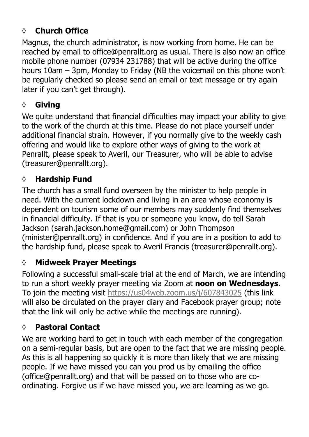# **◊ Church Office**

Magnus, the church administrator, is now working from home. He can be reached by email to office@penrallt.org as usual. There is also now an office mobile phone number (07934 231788) that will be active during the office hours 10am – 3pm, Monday to Friday (NB the voicemail on this phone won't be regularly checked so please send an email or text message or try again later if you can't get through).

# **◊ Giving**

We quite understand that financial difficulties may impact your ability to give to the work of the church at this time. Please do not place yourself under additional financial strain. However, if you normally give to the weekly cash offering and would like to explore other ways of giving to the work at Penrallt, please speak to Averil, our Treasurer, who will be able to advise (treasurer@penrallt.org).

### **◊ Hardship Fund**

The church has a small fund overseen by the minister to help people in need. With the current lockdown and living in an area whose economy is dependent on tourism some of our members may suddenly find themselves in financial difficulty. If that is you or someone you know, do tell Sarah Jackson (sarah.jackson.home@gmail.com) or John Thompson (minister@penrallt.org) in confidence. And if you are in a position to add to the hardship fund, please speak to Averil Francis (treasurer@penrallt.org).

#### **◊ Midweek Prayer Meetings**

Following a successful small-scale trial at the end of March, we are intending to run a short weekly prayer meeting via Zoom at **noon on Wednesdays**. To join the meeting visit <https://us04web.zoom.us/j/607843025>(this link will also be circulated on the prayer diary and Facebook prayer group; note that the link will only be active while the meetings are running).

# **◊ Pastoral Contact**

We are working hard to get in touch with each member of the congregation on a semi-regular basis, but are open to the fact that we are missing people. As this is all happening so quickly it is more than likely that we are missing people. If we have missed you can you prod us by emailing the office (office@penrallt.org) and that will be passed on to those who are coordinating. Forgive us if we have missed you, we are learning as we go.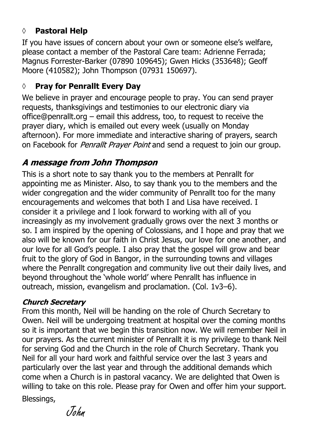### **◊ Pastoral Help**

If you have issues of concern about your own or someone else's welfare, please contact a member of the Pastoral Care team: Adrienne Ferrada; Magnus Forrester-Barker (07890 109645); Gwen Hicks (353648); Geoff Moore (410582); John Thompson (07931 150697).

#### **◊ Pray for Penrallt Every Day**

We believe in prayer and encourage people to pray. You can send prayer requests, thanksgivings and testimonies to our electronic diary via office@penrallt.org – email this address, too, to request to receive the prayer diary, which is emailed out every week (usually on Monday afternoon). For more immediate and interactive sharing of prayers, search on Facebook for *Penrallt Prayer Point* and send a request to join our group.

#### A message from John Thompson

This is a short note to say thank you to the members at Penrallt for appointing me as Minister. Also, to say thank you to the members and the wider congregation and the wider community of Penrallt too for the many encouragements and welcomes that both I and Lisa have received. I consider it a privilege and I look forward to working with all of you increasingly as my involvement gradually grows over the next 3 months or so. I am inspired by the opening of Colossians, and I hope and pray that we also will be known for our faith in Christ Jesus, our love for one another, and our love for all God's people. I also pray that the gospel will grow and bear fruit to the glory of God in Bangor, in the surrounding towns and villages where the Penrallt congregation and community live out their daily lives, and beyond throughout the 'whole world' where Penrallt has influence in outreach, mission, evangelism and proclamation. (Col. 1v3–6).

#### **Church Secretary**

From this month, Neil will be handing on the role of Church Secretary to Owen. Neil will be undergoing treatment at hospital over the coming months so it is important that we begin this transition now. We will remember Neil in our prayers. As the current minister of Penrallt it is my privilege to thank Neil for serving God and the Church in the role of Church Secretary. Thank you Neil for all your hard work and faithful service over the last 3 years and particularly over the last year and through the additional demands which come when a Church is in pastoral vacancy. We are delighted that Owen is willing to take on this role. Please pray for Owen and offer him your support.

Blessings,

John